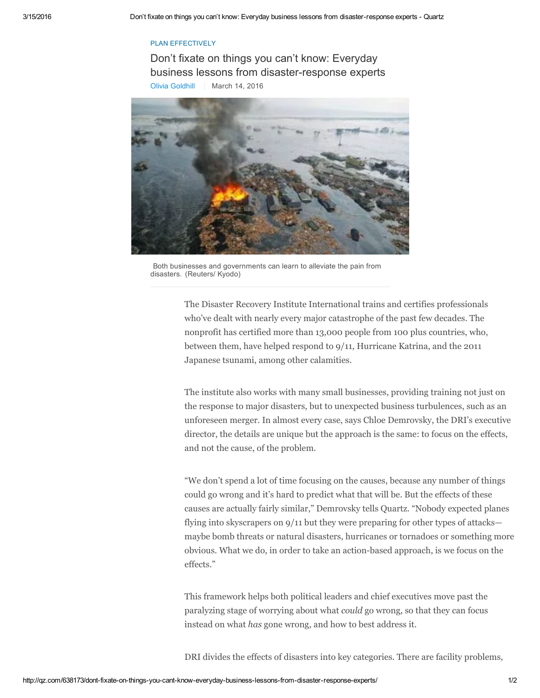## PLAN EFFECTIVELY

Don't fixate on things you can't know: Everyday business lessons from disaster-response experts Olivia [Goldhill](http://qz.com/author/ogoldhillqz/) | March 14, 2016



Both businesses and governments can learn to alleviate the pain from disasters. (Reuters/ Kyodo)

The Disaster Recovery Institute International trains and certifies professionals who've dealt with nearly every major catastrophe of the past few decades. The nonprofit has certified more than 13,000 people from 100 plus countries, who, between them, have helped respond to 9/11, Hurricane Katrina, and the 2011 Japanese tsunami, among other calamities.

The institute also works with many small businesses, providing training not just on the response to major disasters, but to unexpected business turbulences, such as an unforeseen merger. In almost every case, says Chloe Demrovsky, the DRI's executive director, the details are unique but the approach is the same: to focus on the effects, and not the cause, of the problem.

"We don't spend a lot of time focusing on the causes, because any number of things could go wrong and it's hard to predict what that will be. But the effects of these causes are actually fairly similar," Demrovsky tells Quartz. "Nobody expected planes flying into skyscrapers on 9/11 but they were preparing for other types of attacks maybe bomb threats or natural disasters, hurricanes or tornadoes or something more obvious. What we do, in order to take an action-based approach, is we focus on the effects."

This framework helps both political leaders and chief executives move past the paralyzing stage of worrying about what could go wrong, so that they can focus instead on what has gone wrong, and how to best address it.

DRI divides the effects of disasters into key categories. There are facility problems,